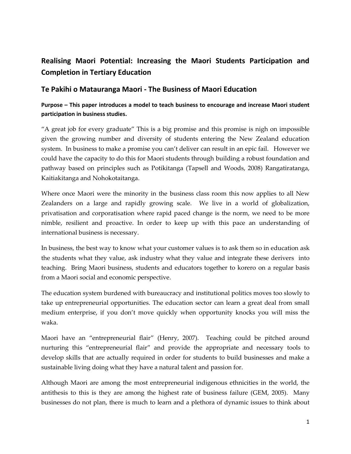## **Realising Maori Potential: Increasing the Maori Students Participation and Completion in Tertiary Education**

## **Te Pakihi o Matauranga Maori - The Business of Maori Education**

## **Purpose – This paper introduces a model to teach business to encourage and increase Maori student participation in business studies.**

"A great job for every graduate" This is a big promise and this promise is nigh on impossible given the growing number and diversity of students entering the New Zealand education system. In business to make a promise you can't deliver can result in an epic fail. However we could have the capacity to do this for Maori students through building a robust foundation and pathway based on principles such as Potikitanga (Tapsell and Woods, 2008) Rangatiratanga, Kaitiakitanga and Nohokotaitanga.

Where once Maori were the minority in the business class room this now applies to all New Zealanders on a large and rapidly growing scale. We live in a world of globalization, privatisation and corporatisation where rapid paced change is the norm, we need to be more nimble, resilient and proactive. In order to keep up with this pace an understanding of international business is necessary.

In business, the best way to know what your customer values is to ask them so in education ask the students what they value, ask industry what they value and integrate these derivers into teaching. Bring Maori business, students and educators together to korero on a regular basis from a Maori social and economic perspective.

The education system burdened with bureaucracy and institutional politics moves too slowly to take up entrepreneurial opportunities. The education sector can learn a great deal from small medium enterprise, if you don't move quickly when opportunity knocks you will miss the waka.

Maori have an "entrepreneurial flair" (Henry, 2007). Teaching could be pitched around nurturing this "entrepreneurial flair" and provide the appropriate and necessary tools to develop skills that are actually required in order for students to build businesses and make a sustainable living doing what they have a natural talent and passion for.

Although Maori are among the most entrepreneurial indigenous ethnicities in the world, the antithesis to this is they are among the highest rate of business failure (GEM, 2005). Many businesses do not plan, there is much to learn and a plethora of dynamic issues to think about